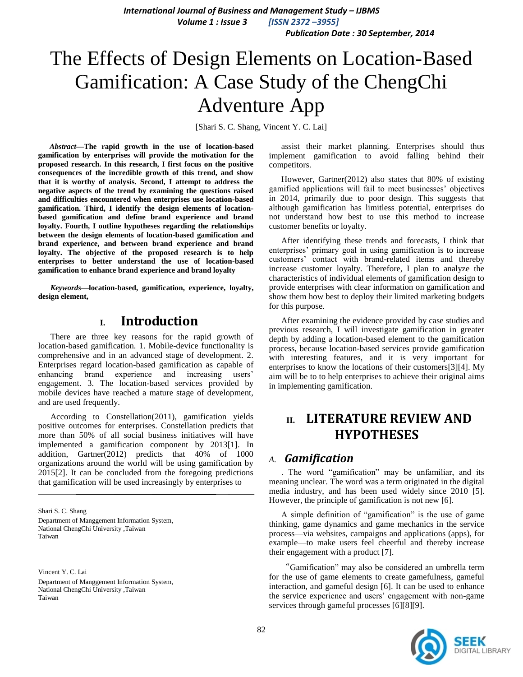*International Journal of Business and Management Study – IJBMS Volume 1 : Issue 3 [ISSN 2372 –3955] Publication Date : 30 September, 2014*

# The Effects of Design Elements on Location-Based Gamification: A Case Study of the ChengChi Adventure App

[Shari S. C. Shang, Vincent Y. C. Lai]

*Abstract***—The rapid growth in the use of location-based gamification by enterprises will provide the motivation for the proposed research. In this research, I first focus on the positive consequences of the incredible growth of this trend, and show that it is worthy of analysis. Second, I attempt to address the negative aspects of the trend by examining the questions raised and difficulties encountered when enterprises use location-based gamification. Third, I identify the design elements of locationbased gamification and define brand experience and brand loyalty. Fourth, I outline hypotheses regarding the relationships between the design elements of location-based gamification and brand experience, and between brand experience and brand loyalty. The objective of the proposed research is to help enterprises to better understand the use of location-based gamification to enhance brand experience and brand loyalty**

*Keywords—***location-based, gamification, experience, loyalty, design element,**

# **I. Introduction**

There are three key reasons for the rapid growth of location-based gamification. 1. Mobile-device functionality is comprehensive and in an advanced stage of development. 2. Enterprises regard location-based gamification as capable of enhancing brand experience and increasing users' engagement. 3. The location-based services provided by mobile devices have reached a mature stage of development, and are used frequently.

According to Constellation(2011), gamification yields positive outcomes for enterprises. Constellation predicts that more than 50% of all social business initiatives will have implemented a gamification component by 2013[1]. In addition, Gartner(2012) predicts that 40% of 1000 organizations around the world will be using gamification by 2015[2]. It can be concluded from the foregoing predictions that gamification will be used increasingly by enterprises to

Shari S. C. Shang Department of Manggement Information System, National ChengChi University ,Taiwan Taiwan

Vincent Y. C. Lai Department of Manggement Information System, National ChengChi University ,Taiwan Taiwan

assist their market planning. Enterprises should thus implement gamification to avoid falling behind their competitors.

However, Gartner(2012) also states that 80% of existing gamified applications will fail to meet businesses' objectives in 2014, primarily due to poor design. This suggests that although gamification has limitless potential, enterprises do not understand how best to use this method to increase customer benefits or loyalty.

After identifying these trends and forecasts, I think that enterprises' primary goal in using gamification is to increase customers' contact with brand-related items and thereby increase customer loyalty. Therefore, I plan to analyze the characteristics of individual elements of gamification design to provide enterprises with clear information on gamification and show them how best to deploy their limited marketing budgets for this purpose.

After examining the evidence provided by case studies and previous research, I will investigate gamification in greater depth by adding a location-based element to the gamification process, because location-based services provide gamification with interesting features, and it is very important for enterprises to know the locations of their customers[3][4]. My aim will be to to help enterprises to achieve their original aims in implementing gamification.

# **II. LITERATURE REVIEW AND HYPOTHESES**

### *A. Gamification*

. The word "gamification" may be unfamiliar, and its meaning unclear. The word was a term originated in the digital media industry, and has been used widely since 2010 [5]. However, the principle of gamification is not new [6].

A simple definition of "gamification" is the use of game thinking, game dynamics and game mechanics in the service process—via websites, campaigns and applications (apps), for example—to make users feel cheerful and thereby increase their engagement with a product [7].

"Gamification" may also be considered an umbrella term for the use of game elements to create gamefulness, gameful interaction, and gameful design [6]. It can be used to enhance the service experience and users' engagement with non-game services through gameful processes [6][8][9].

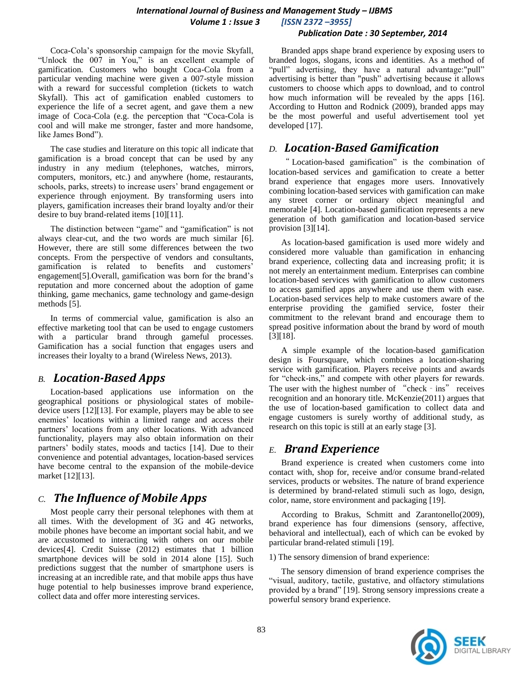### *International Journal of Business and Management Study – IJBMS Volume 1 : Issue 3 [ISSN 2372 –3955]*

 *Publication Date : 30 September, 2014*

Coca-Cola's sponsorship campaign for the movie Skyfall, "Unlock the 007 in You," is an excellent example of gamification. Customers who bought Coca-Cola from a particular vending machine were given a 007-style mission with a reward for successful completion (tickets to watch Skyfall). This act of gamification enabled customers to experience the life of a secret agent, and gave them a new image of Coca-Cola (e.g. the perception that "Coca-Cola is cool and will make me stronger, faster and more handsome, like James Bond").

The case studies and literature on this topic all indicate that gamification is a broad concept that can be used by any industry in any medium (telephones, watches, mirrors, computers, monitors, etc.) and anywhere (home, restaurants, schools, parks, streets) to increase users' brand engagement or experience through enjoyment. By transforming users into players, gamification increases their brand loyalty and/or their desire to buy brand-related items [10][11].

The distinction between "game" and "gamification" is not always clear-cut, and the two words are much similar [6]. However, there are still some differences between the two concepts. From the perspective of vendors and consultants, gamification is related to benefits and customers' engagement[5].Overall, gamification was born for the brand's reputation and more concerned about the adoption of game thinking, game mechanics, game technology and game-design methods [5].

In terms of commercial value, gamification is also an effective marketing tool that can be used to engage customers with a particular brand through gameful processes. Gamification has a social function that engages users and increases their loyalty to a brand (Wireless News, 2013).

# *B. Location-Based Apps*

Location-based applications use information on the geographical positions or physiological states of mobiledevice users [12][13]. For example, players may be able to see enemies' locations within a limited range and access their partners' locations from any other locations. With advanced functionality, players may also obtain information on their partners' bodily states, moods and tactics [14]. Due to their convenience and potential advantages, location-based services have become central to the expansion of the mobile-device market [12][13].

# *C. The Influence of Mobile Apps*

Most people carry their personal telephones with them at all times. With the development of  $3\bar{G}$  and  $4G$  networks, mobile phones have become an important social habit, and we are accustomed to interacting with others on our mobile devices[4]. Credit Suisse (2012) estimates that 1 billion smartphone devices will be sold in 2014 alone [15]. Such predictions suggest that the number of smartphone users is increasing at an incredible rate, and that mobile apps thus have huge potential to help businesses improve brand experience, collect data and offer more interesting services.

Branded apps shape brand experience by exposing users to branded logos, slogans, icons and identities. As a method of "pull" advertising, they have a natural advantage:"pull" advertising is better than "push" advertising because it allows customers to choose which apps to download, and to control how much information will be revealed by the apps [16]. According to Hutton and Rodnick (2009), branded apps may be the most powerful and useful advertisement tool yet developed [17].

# *D. Location-Based Gamification*

" Location-based gamification" is the combination of location-based services and gamification to create a better brand experience that engages more users. Innovatively combining location-based services with gamification can make any street corner or ordinary object meaningful and memorable [4]. Location-based gamification represents a new generation of both gamification and location-based service provision [3][14].

As location-based gamification is used more widely and considered more valuable than gamification in enhancing brand experience, collecting data and increasing profit; it is not merely an entertainment medium. Enterprises can combine location-based services with gamification to allow customers to access gamified apps anywhere and use them with ease. Location-based services help to make customers aware of the enterprise providing the gamified service, foster their commitment to the relevant brand and encourage them to spread positive information about the brand by word of mouth [3][18].

A simple example of the location-based gamification design is Foursquare, which combines a location-sharing service with gamification. Players receive points and awards for "check-ins," and compete with other players for rewards. The user with the highest number of "check - ins" receives recognition and an honorary title. McKenzie(2011) argues that the use of location-based gamification to collect data and engage customers is surely worthy of additional study, as research on this topic is still at an early stage [3].

### *E. Brand Experience*

Brand experience is created when customers come into contact with, shop for, receive and/or consume brand-related services, products or websites. The nature of brand experience is determined by brand-related stimuli such as logo, design, color, name, store environment and packaging [19].

According to Brakus, Schmitt and Zarantonello(2009), brand experience has four dimensions (sensory, affective, behavioral and intellectual), each of which can be evoked by particular brand-related stimuli [19].

1) The sensory dimension of brand experience:

The sensory dimension of brand experience comprises the "visual, auditory, tactile, gustative, and olfactory stimulations provided by a brand" [19]. Strong sensory impressions create a powerful sensory brand experience.

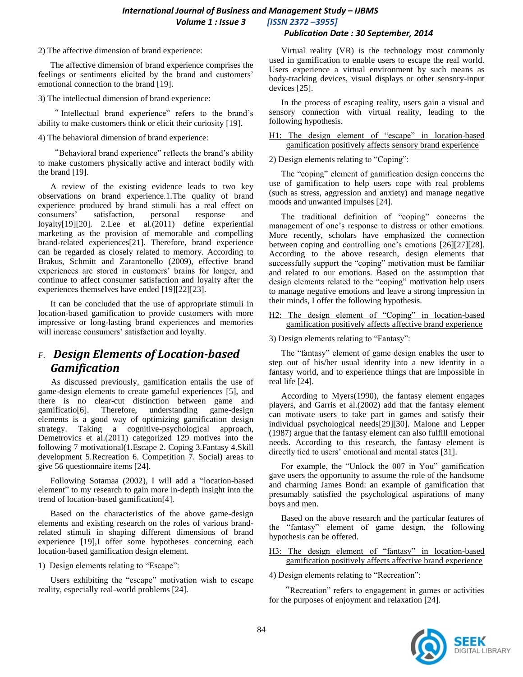#### *International Journal of Business and Management Study – IJBMS Volume 1 : Issue 3 [ISSN 2372 –3955] Publication Date : 30 September, 2014*

#### 2) The affective dimension of brand experience:

The affective dimension of brand experience comprises the feelings or sentiments elicited by the brand and customers' emotional connection to the brand [19].

3) The intellectual dimension of brand experience:

" Intellectual brand experience" refers to the brand's ability to make customers think or elicit their curiosity [19].

#### 4) The behavioral dimension of brand experience:

"Behavioral brand experience" reflects the brand's ability to make customers physically active and interact bodily with the brand [19].

A review of the existing evidence leads to two key observations on brand experience.1.The quality of brand experience produced by brand stimuli has a real effect on consumers' satisfaction, personal response and loyalty[19][20]. 2.Lee et al.(2011) define experiential marketing as the provision of memorable and compelling brand-related experiences[21]. Therefore, brand experience can be regarded as closely related to memory. According to Brakus, Schmitt and Zarantonello (2009), effective brand experiences are stored in customers' brains for longer, and continue to affect consumer satisfaction and loyalty after the experiences themselves have ended [19][22][23].

It can be concluded that the use of appropriate stimuli in location-based gamification to provide customers with more impressive or long-lasting brand experiences and memories will increase consumers' satisfaction and loyalty.

# *F. Design Elements of Location-based Gamification*

As discussed previously, gamification entails the use of game-design elements to create gameful experiences [5], and there is no clear-cut distinction between game and gamificatio[6]. Therefore, understanding game-design elements is a good way of optimizing gamification design strategy. Taking a cognitive-psychological approach, Demetrovics et al.(2011) categorized 129 motives into the following 7 motivational(1.Escape 2. Coping 3.Fantasy 4.Skill development 5.Recreation 6. Competition 7. Social) areas to give 56 questionnaire items [24].

Following Sotamaa (2002), I will add a "location-based element" to my research to gain more in-depth insight into the trend of location-based gamification[4].

Based on the characteristics of the above game-design elements and existing research on the roles of various brandrelated stimuli in shaping different dimensions of brand experience [19],I offer some hypotheses concerning each location-based gamification design element.

1) Design elements relating to "Escape":

Users exhibiting the "escape" motivation wish to escape reality, especially real-world problems [24].

Virtual reality (VR) is the technology most commonly used in gamification to enable users to escape the real world. Users experience a virtual environment by such means as body-tracking devices, visual displays or other sensory-input devices [25].

In the process of escaping reality, users gain a visual and sensory connection with virtual reality, leading to the following hypothesis.

#### H1: The design element of "escape" in location-based gamification positively affects sensory brand experience

#### 2) Design elements relating to "Coping":

The "coping" element of gamification design concerns the use of gamification to help users cope with real problems (such as stress, aggression and anxiety) and manage negative moods and unwanted impulses [24].

The traditional definition of "coping" concerns the management of one's response to distress or other emotions. More recently, scholars have emphasized the connection between coping and controlling one's emotions [26][27][28]. According to the above research, design elements that successfully support the "coping" motivation must be familiar and related to our emotions. Based on the assumption that design elements related to the "coping" motivation help users to manage negative emotions and leave a strong impression in their minds, I offer the following hypothesis.

#### H2: The design element of "Coping" in location-based gamification positively affects affective brand experience

#### 3) Design elements relating to "Fantasy":

The "fantasy" element of game design enables the user to step out of his/her usual identity into a new identity in a fantasy world, and to experience things that are impossible in real life [24].

According to Myers(1990), the fantasy element engages players, and Garris et al.(2002) add that the fantasy element can motivate users to take part in games and satisfy their individual psychological needs[29][30]. Malone and Lepper (1987) argue that the fantasy element can also fulfill emotional needs. According to this research, the fantasy element is directly tied to users' emotional and mental states [31].

For example, the "Unlock the 007 in You" gamification gave users the opportunity to assume the role of the handsome and charming James Bond: an example of gamification that presumably satisfied the psychological aspirations of many boys and men.

Based on the above research and the particular features of the "fantasy" element of game design, the following hypothesis can be offered.

H3: The design element of "fantasy" in location-based gamification positively affects affective brand experience

4) Design elements relating to "Recreation":

"Recreation" refers to engagement in games or activities for the purposes of enjoyment and relaxation [24].

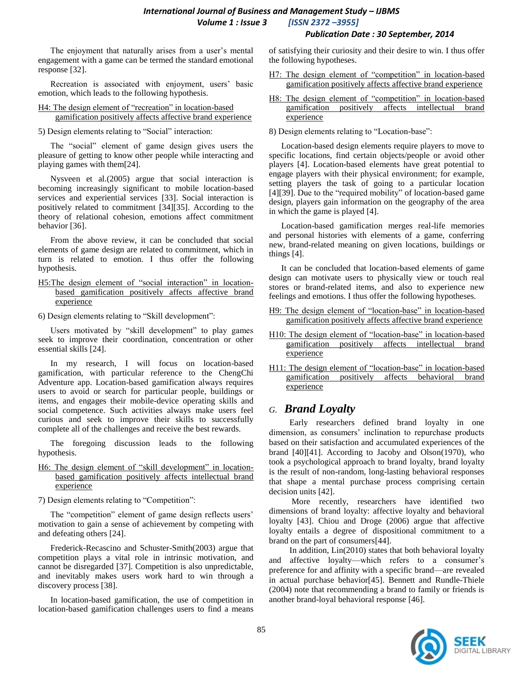#### *Publication Date : 30 September, 2014*

The enjoyment that naturally arises from a user's mental engagement with a game can be termed the standard emotional response [32].

Recreation is associated with enjoyment, users' basic emotion, which leads to the following hypothesis.

#### H4: The design element of "recreation" in location-based gamification positively affects affective brand experience

5) Design elements relating to "Social" interaction:

The "social" element of game design gives users the pleasure of getting to know other people while interacting and playing games with them[24].

Nysveen et al.(2005) argue that social interaction is becoming increasingly significant to mobile location-based services and experiential services [33]. Social interaction is positively related to commitment [34][35]. According to the theory of relational cohesion, emotions affect commitment behavior [36].

From the above review, it can be concluded that social elements of game design are related to commitment, which in turn is related to emotion. I thus offer the following hypothesis.

H5:The design element of "social interaction" in locationbased gamification positively affects affective brand **experience** 

6) Design elements relating to "Skill development":

Users motivated by "skill development" to play games seek to improve their coordination, concentration or other essential skills [24].

In my research, I will focus on location-based gamification, with particular reference to the ChengChi Adventure app. Location-based gamification always requires users to avoid or search for particular people, buildings or items, and engages their mobile-device operating skills and social competence. Such activities always make users feel curious and seek to improve their skills to successfully complete all of the challenges and receive the best rewards.

The foregoing discussion leads to the following hypothesis.

H6: The design element of "skill development" in locationbased gamification positively affects intellectual brand experience

7) Design elements relating to "Competition":

The "competition" element of game design reflects users' motivation to gain a sense of achievement by competing with and defeating others [24].

Frederick-Recascino and Schuster-Smith(2003) argue that competition plays a vital role in intrinsic motivation, and cannot be disregarded [37]. Competition is also unpredictable, and inevitably makes users work hard to win through a discovery process [38].

In location-based gamification, the use of competition in location-based gamification challenges users to find a means of satisfying their curiosity and their desire to win. I thus offer the following hypotheses.

- H7: The design element of "competition" in location-based gamification positively affects affective brand experience
- H8: The design element of "competition" in location-based gamification positively affects intellectual brand experience
- 8) Design elements relating to "Location-base":

Location-based design elements require players to move to specific locations, find certain objects/people or avoid other players [4]. Location-based elements have great potential to engage players with their physical environment; for example, setting players the task of going to a particular location [4][39]. Due to the "required mobility" of location-based game design, players gain information on the geography of the area in which the game is played [4].

Location-based gamification merges real-life memories and personal histories with elements of a game, conferring new, brand-related meaning on given locations, buildings or things [4].

It can be concluded that location-based elements of game design can motivate users to physically view or touch real stores or brand-related items, and also to experience new feelings and emotions. I thus offer the following hypotheses.

- H9: The design element of "location-base" in location-based gamification positively affects affective brand experience
- H10: The design element of "location-base" in location-based gamification positively affects intellectual brand experience
- H11: The design element of "location-base" in location-based gamification positively affects behavioral brand experience

### *G. Brand Loyalty*

Early researchers defined brand loyalty in one dimension, as consumers' inclination to repurchase products based on their satisfaction and accumulated experiences of the brand [40][41]. According to Jacoby and Olson(1970), who took a psychological approach to brand loyalty, brand loyalty is the result of non-random, long-lasting behavioral responses that shape a mental purchase process comprising certain decision units [42].

More recently, researchers have identified two dimensions of brand loyalty: affective loyalty and behavioral loyalty [43]. Chiou and Droge (2006) argue that affective loyalty entails a degree of dispositional commitment to a brand on the part of consumers[44].

In addition, Lin(2010) states that both behavioral loyalty and affective loyalty—which refers to a consumer's preference for and affinity with a specific brand—are revealed in actual purchase behavior[45]. Bennett and Rundle-Thiele (2004) note that recommending a brand to family or friends is another brand-loyal behavioral response [46].

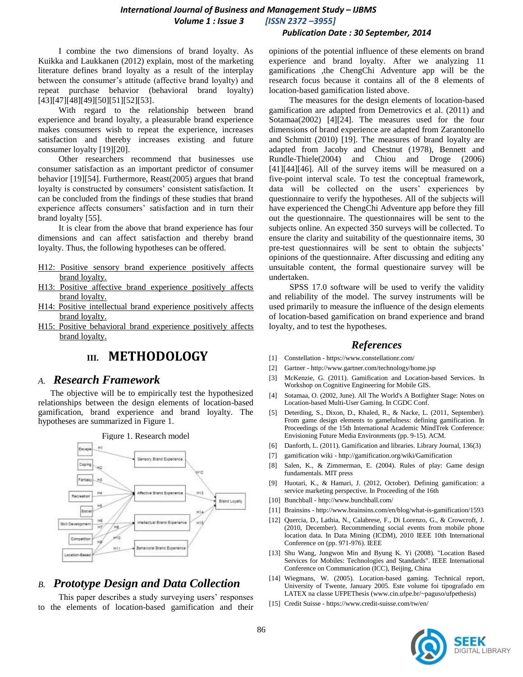### *International Journal of Business and Management Study – IJBMS Volume 1 : Issue 3 [ISSN 2372 –3955]*

#### *Publication Date : 30 September, 2014*

I combine the two dimensions of brand loyalty. As Kuikka and Laukkanen (2012) explain, most of the marketing literature defines brand loyalty as a result of the interplay between the consumer's attitude (affective brand loyalty) and repeat purchase behavior (behavioral brand loyalty) [43][47][48][49][50][51][52][53].

With regard to the relationship between brand experience and brand loyalty, a pleasurable brand experience makes consumers wish to repeat the experience, increases satisfaction and thereby increases existing and future consumer loyalty [19][20].

Other researchers recommend that businesses use consumer satisfaction as an important predictor of consumer behavior [19][54]. Furthermore, Reast(2005) argues that brand loyalty is constructed by consumers' consistent satisfaction. It can be concluded from the findings of these studies that brand experience affects consumers' satisfaction and in turn their brand loyalty [55].

It is clear from the above that brand experience has four dimensions and can affect satisfaction and thereby brand loyalty. Thus, the following hypotheses can be offered.

- H12: Positive sensory brand experience positively affects brand loyalty.
- H13: Positive affective brand experience positively affects brand loyalty.
- H14: Positive intellectual brand experience positively affects brand loyalty.
- H15: Positive behavioral brand experience positively affects brand loyalty.

# **III. METHODOLOGY**

#### *A. Research Framework*

The objective will be to empirically test the hypothesized relationships between the design elements of location-based gamification, brand experience and brand loyalty. The hypotheses are summarized in Figure 1.



### *B. Prototype Design and Data Collection*

This paper describes a study surveying users' responses to the elements of location-based gamification and their opinions of the potential influence of these elements on brand experience and brand loyalty. After we analyzing 11 gamifications ,the ChengChi Adventure app will be the research focus because it contains all of the 8 elements of location-based gamification listed above.

The measures for the design elements of location-based gamification are adapted from Demetrovics et al. (2011) and Sotamaa(2002) [4][24]. The measures used for the four dimensions of brand experience are adapted from Zarantonello and Schmitt (2010) [19]. The measures of brand loyalty are adapted from Jacoby and Chestnut (1978), Bennett and Rundle-Thiele(2004) and Chiou and Droge (2006) [41][44][46]. All of the survey items will be measured on a five-point interval scale. To test the conceptual framework, data will be collected on the users' experiences by questionnaire to verify the hypotheses. All of the subjects will have experienced the ChengChi Adventure app before they fill out the questionnaire. The questionnaires will be sent to the subjects online. An expected 350 surveys will be collected. To ensure the clarity and suitability of the questionnaire items, 30 pre-test questionnaires will be sent to obtain the subjects' opinions of the questionnaire. After discussing and editing any unsuitable content, the formal questionaire survey will be undertaken.

SPSS 17.0 software will be used to verify the validity and reliability of the model. The survey instruments will be used primarily to measure the influence of the design elements of location-based gamification on brand experience and brand loyalty, and to test the hypotheses.

#### *References*

- [1] Constellation <https://www.constellationr.com/>
- [2] Gartner <http://www.gartner.com/technology/home.jsp>
- [3] McKenzie, G. (2011). Gamification and Location-based Services. In Workshop on Cognitive Engineering for Mobile GIS.
- [4] Sotamaa, O. (2002, June). All The World's A Botfighter Stage: Notes on Location-based Multi-User Gaming. In CGDC Conf.
- [5] Deterding, S., Dixon, D., Khaled, R., & Nacke, L. (2011, September). From game design elements to gamefulness: defining gamification. In Proceedings of the 15th International Academic MindTrek Conference: Envisioning Future Media Environments (pp. 9-15). ACM.
- [6] Danforth, L. (2011). Gamification and libraries. Library Journal, 136(3)
- [7] gamification wiki <http://gamification.org/wiki/Gamification>
- [8] Salen, K., & Zimmerman, E. (2004). Rules of play: Game design fundamentals. MIT press
- [9] Huotari, K., & Hamari, J. (2012, October). Defining gamification: a service marketing perspective. In Proceeding of the 16th
- [10] Bunchball http://www.bunchball.com/
- [11] Brainsins http://www.brainsins.com/en/blog/what-is-gamification/1593
- [12] Quercia, D., Lathia, N., Calabrese, F., Di Lorenzo, G., & Crowcroft, J. (2010, December). Recommending social events from mobile phone location data. In Data Mining (ICDM), 2010 IEEE 10th International Conference on (pp. 971-976). IEEE
- [13] Shu Wang, Jungwon Min and Byung K. Yi (2008). "Location Based Services for Mobiles: Technologies and Standards". IEEE International Conference on Communication (ICC), Beijing, China
- [14] Wiegmans, W. (2005). Location-based gaming. Technical report, University of Twente, January 2005. Este volume foi tipografado em LATEX na classe UFPEThesis (www.cin.ufpe.br/~paguso/ufpethesis)
- [15] Credit Suisse https://www.credit-suisse.com/tw/en/